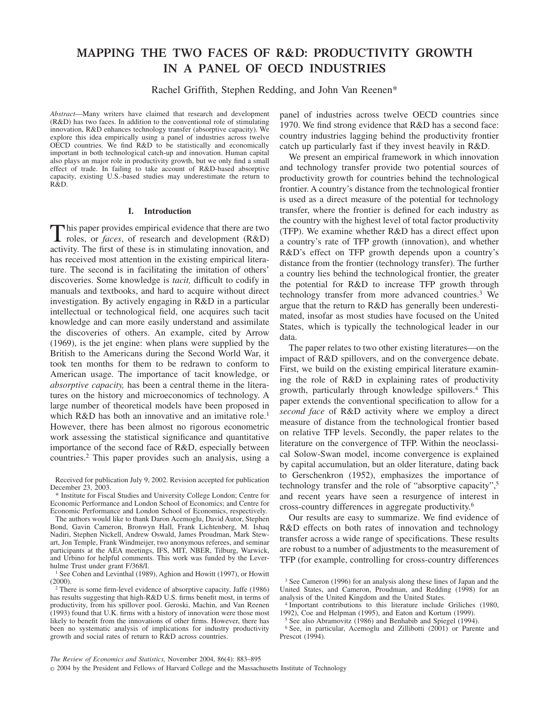# **MAPPING THE TWO FACES OF R&D: PRODUCTIVITY GROWTH IN A PANEL OF OECD INDUSTRIES**

Rachel Griffith, Stephen Redding, and John Van Reenen\*

*Abstract*—Many writers have claimed that research and development (R&D) has two faces. In addition to the conventional role of stimulating innovation, R&D enhances technology transfer (absorptive capacity). We explore this idea empirically using a panel of industries across twelve OECD countries. We find R&D to be statistically and economically important in both technological catch-up and innovation. Human capital also plays an major role in productivity growth, but we only find a small effect of trade. In failing to take account of R&D-based absorptive capacity, existing U.S.-based studies may underestimate the return to R&D.

# **I. Introduction**

This paper provides empirical evidence that there are two roles, or *faces*, of research and development (R&D) activity. The first of these is in stimulating innovation, and has received most attention in the existing empirical literature. The second is in facilitating the imitation of others' discoveries. Some knowledge is *tacit,* difficult to codify in manuals and textbooks, and hard to acquire without direct investigation. By actively engaging in R&D in a particular intellectual or technological field, one acquires such tacit knowledge and can more easily understand and assimilate the discoveries of others. An example, cited by Arrow (1969), is the jet engine: when plans were supplied by the British to the Americans during the Second World War, it took ten months for them to be redrawn to conform to American usage. The importance of tacit knowledge, or *absorptive capacity,* has been a central theme in the literatures on the history and microeconomics of technology. A large number of theoretical models have been proposed in which R&D has both an innovative and an imitative role.<sup>1</sup> However, there has been almost no rigorous econometric work assessing the statistical significance and quantitative importance of the second face of R&D, especially between countries.2 This paper provides such an analysis, using a

Received for publication July 9, 2002. Revision accepted for publication December 23, 2003.

\* Institute for Fiscal Studies and University College London; Centre for Economic Performance and London School of Economics; and Centre for Economic Performance and London School of Economics, respectively.

The authors would like to thank Daron Acemoglu, David Autor, Stephen Bond, Gavin Cameron, Bronwyn Hall, Frank Lichtenberg, M. Ishaq Nadiri, Stephen Nickell, Andrew Oswald, James Proudman, Mark Stewart, Jon Temple, Frank Windmeijer, two anonymous referees, and seminar participants at the AEA meetings, IFS, MIT, NBER, Tilburg, Warwick, and Urbino for helpful comments. This work was funded by the Leverhulme Trust under grant F/368/I.

<sup>1</sup> See Cohen and Levinthal (1989), Aghion and Howitt (1997), or Howitt (2000).

panel of industries across twelve OECD countries since 1970. We find strong evidence that R&D has a second face: country industries lagging behind the productivity frontier catch up particularly fast if they invest heavily in R&D.

We present an empirical framework in which innovation and technology transfer provide two potential sources of productivity growth for countries behind the technological frontier. A country's distance from the technological frontier is used as a direct measure of the potential for technology transfer, where the frontier is defined for each industry as the country with the highest level of total factor productivity (TFP). We examine whether R&D has a direct effect upon a country's rate of TFP growth (innovation), and whether R&D's effect on TFP growth depends upon a country's distance from the frontier (technology transfer). The further a country lies behind the technological frontier, the greater the potential for R&D to increase TFP growth through technology transfer from more advanced countries.3 We argue that the return to R&D has generally been underestimated, insofar as most studies have focused on the United States, which is typically the technological leader in our data.

The paper relates to two other existing literatures—on the impact of R&D spillovers, and on the convergence debate. First, we build on the existing empirical literature examining the role of R&D in explaining rates of productivity growth, particularly through knowledge spillovers.4 This paper extends the conventional specification to allow for a *second face* of R&D activity where we employ a direct measure of distance from the technological frontier based on relative TFP levels. Secondly, the paper relates to the literature on the convergence of TFP. Within the neoclassical Solow-Swan model, income convergence is explained by capital accumulation, but an older literature, dating back to Gerschenkron (1952), emphasizes the importance of technology transfer and the role of "absorptive capacity",5 and recent years have seen a resurgence of interest in cross-country differences in aggregate productivity.6

Our results are easy to summarize. We find evidence of R&D effects on both rates of innovation and technology transfer across a wide range of specifications. These results are robust to a number of adjustments to the measurement of TFP (for example, controlling for cross-country differences

© 2004 by the President and Fellows of Harvard College and the Massachusetts Institute of Technology

<sup>2</sup> There is some firm-level evidence of absorptive capacity. Jaffe (1986) has results suggesting that high-R&D U.S. firms benefit most, in terms of productivity, from his spillover pool. Geroski, Machin, and Van Reenen (1993) found that U.K. firms with a history of innovation were those most likely to benefit from the innovations of other firms. However, there has been no systematic analysis of implications for industry productivity growth and social rates of return to R&D across countries.

<sup>3</sup> See Cameron (1996) for an analysis along these lines of Japan and the United States, and Cameron, Proudman, and Redding (1998) for an analysis of the United Kingdom and the United States.

<sup>4</sup> Important contributions to this literature include Griliches (1980, 1992), Coe and Helpman (1995), and Eaton and Kortum (1999).

<sup>5</sup> See also Abramovitz (1986) and Benhabib and Spiegel (1994).

<sup>6</sup> See, in particular, Acemoglu and Zillibotti (2001) or Parente and Prescot (1994).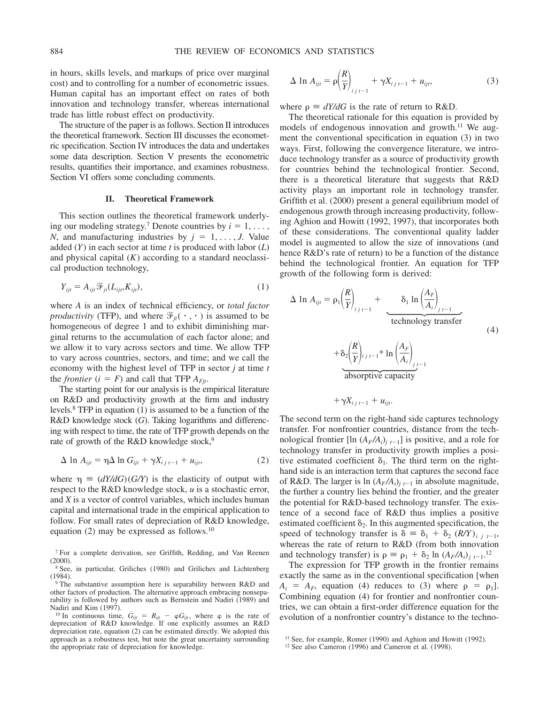in hours, skills levels, and markups of price over marginal cost) and to controlling for a number of econometric issues. Human capital has an important effect on rates of both innovation and technology transfer, whereas international trade has little robust effect on productivity.

The structure of the paper is as follows. Section II introduces the theoretical framework. Section III discusses the econometric specification. Section IV introduces the data and undertakes some data description. Section V presents the econometric results, quantifies their importance, and examines robustness. Section VI offers some concluding comments.

# **II. Theoretical Framework**

This section outlines the theoretical framework underlying our modeling strategy.<sup>7</sup> Denote countries by  $i = 1, \ldots$ , *N*, and manufacturing industries by  $j = 1, \ldots, J$ . Value added (*Y*) in each sector at time *t* is produced with labor (*L*) and physical capital (*K*) according to a standard neoclassical production technology,

$$
Y_{ijt} = A_{ijt} \mathcal{F}_{jt}(L_{ijt}, K_{ijt}), \qquad (1)
$$

where *A* is an index of technical efficiency, or *total factor productivity* (TFP), and where  $\mathcal{F}_{it}(\cdot, \cdot)$  is assumed to be homogeneous of degree 1 and to exhibit diminishing marginal returns to the accumulation of each factor alone; and we allow it to vary across sectors and time. We allow TFP to vary across countries, sectors, and time; and we call the economy with the highest level of TFP in sector *j* at time *t* the *frontier*  $(i = F)$  and call that TFP  $A_{Fit}$ .

The starting point for our analysis is the empirical literature on R&D and productivity growth at the firm and industry levels.8 TFP in equation (1) is assumed to be a function of the R&D knowledge stock (*G*). Taking logarithms and differencing with respect to time, the rate of TFP growth depends on the rate of growth of the R&D knowledge stock,<sup>9</sup>

$$
\Delta \ln A_{ijt} = \eta \Delta \ln G_{ijt} + \gamma X_{i j t-1} + u_{ijt}, \qquad (2)
$$

where  $\eta \equiv (dY/dG)(G/Y)$  is the elasticity of output with respect to the R&D knowledge stock, *u* is a stochastic error, and *X* is a vector of control variables, which includes human capital and international trade in the empirical application to follow. For small rates of depreciation of R&D knowledge, equation (2) may be expressed as follows.<sup>10</sup>

<sup>10</sup> In continuous time,  $G_{ijt} = R_{ijt} - \varphi G_{ijt}$ , where  $\varphi$  is the rate of depreciation of R&D knowledge. If one explicitly assumes an R&D depreciation rate, equation (2) can be estimated directly. We adopted this approach as a robustness test, but note the great uncertainty surrounding the appropriate rate of depreciation for knowledge.

$$
\Delta \ln A_{ijt} = \rho \left(\frac{R}{Y}\right)_{ij \ t-1} + \gamma X_{ij \ t-1} + u_{ijt}, \tag{3}
$$

where  $\rho = dY/dG$  is the rate of return to R&D.

The theoretical rationale for this equation is provided by models of endogenous innovation and growth.<sup>11</sup> We augment the conventional specification in equation (3) in two ways. First, following the convergence literature, we introduce technology transfer as a source of productivity growth for countries behind the technological frontier. Second, there is a theoretical literature that suggests that R&D activity plays an important role in technology transfer. Griffith et al. (2000) present a general equilibrium model of endogenous growth through increasing productivity, following Aghion and Howitt (1992, 1997), that incorporates both of these considerations. The conventional quality ladder model is augmented to allow the size of innovations (and hence R&D's rate of return) to be a function of the distance behind the technological frontier. An equation for TFP growth of the following form is derived:

$$
\Delta \ln A_{ijt} = \rho_1 \left(\frac{R}{Y}\right)_{i \ j \ t-1} + \underbrace{\delta_1 \ln \left(\frac{A_F}{A_i}\right)_{j \ t-1}}_{\text{technology transfer}}
$$
\n
$$
+ \underbrace{\delta_2 \left(\frac{R}{Y}\right)_{i \ j \ t-1} * \ln \left(\frac{A_F}{A_i}\right)_{j \ t-1}}_{\text{absorptive capacity}}
$$
\n
$$
(4)
$$

 $+\gamma X_{i}{}_{j}{}_{t-1} + u_{ijt}$ .

The second term on the right-hand side captures technology transfer. For nonfrontier countries, distance from the technological frontier [ $\ln (A_F/A_i)$ <sub>*t*-1</sub>] is positive, and a role for technology transfer in productivity growth implies a positive estimated coefficient  $\delta_1$ . The third term on the righthand side is an interaction term that captures the second face of R&D. The larger is ln  $(A_F/A_i)_{i,t-1}$  in absolute magnitude, the further a country lies behind the frontier, and the greater the potential for R&D-based technology transfer. The existence of a second face of R&D thus implies a positive estimated coefficient  $\delta_2$ . In this augmented specification, the speed of technology transfer is  $\delta = \delta_1 + \delta_2 (RY)_{i}$  *i*<sub>1</sub>. whereas the rate of return to R&D (from both innovation and technology transfer) is  $\rho = \rho_1 + \delta_2 \ln (A_F/A_i)_{j \ t-1}.$ <sup>12</sup>

The expression for TFP growth in the frontier remains exactly the same as in the conventional specification [when  $A_i = A_F$ , equation (4) reduces to (3) where  $\rho = \rho_1$ . Combining equation (4) for frontier and nonfrontier countries, we can obtain a first-order difference equation for the evolution of a nonfrontier country's distance to the techno-

<sup>7</sup> For a complete derivation, see Griffith, Redding, and Van Reenen (2000).

<sup>8</sup> See, in particular, Griliches (1980) and Griliches and Lichtenberg (1984).

<sup>9</sup> The substantive assumption here is separability between R&D and other factors of production. The alternative approach embracing nonseparability is followed by authors such as Bernstein and Nadiri (1989) and Nadiri and Kim (1997).

<sup>&</sup>lt;sup>11</sup> See, for example, Romer (1990) and Aghion and Howitt (1992).

<sup>&</sup>lt;sup>12</sup> See also Cameron (1996) and Cameron et al. (1998).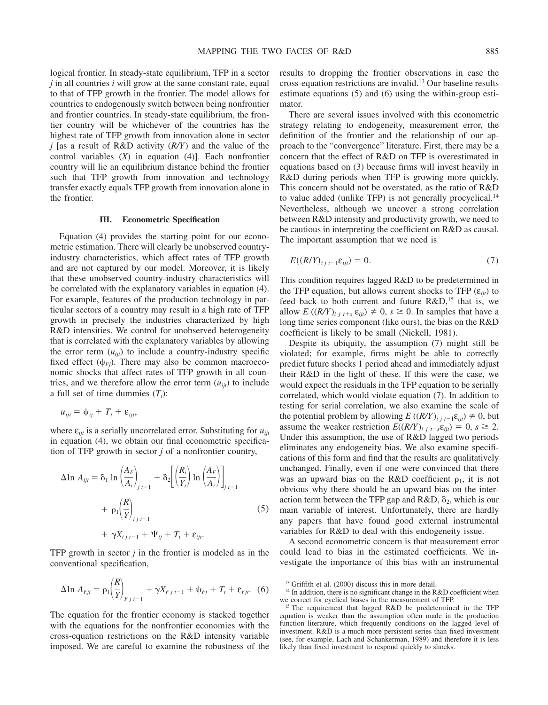logical frontier. In steady-state equilibrium, TFP in a sector *j* in all countries *i* will grow at the same constant rate, equal to that of TFP growth in the frontier. The model allows for countries to endogenously switch between being nonfrontier and frontier countries. In steady-state equilibrium, the frontier country will be whichever of the countries has the highest rate of TFP growth from innovation alone in sector *j* [as a result of R&D activity (*R/Y*) and the value of the control variables (*X*) in equation (4)]. Each nonfrontier country will lie an equilibrium distance behind the frontier such that TFP growth from innovation and technology transfer exactly equals TFP growth from innovation alone in the frontier.

# **III. Econometric Specification**

Equation (4) provides the starting point for our econometric estimation. There will clearly be unobserved countryindustry characteristics, which affect rates of TFP growth and are not captured by our model. Moreover, it is likely that these unobserved country-industry characteristics will be correlated with the explanatory variables in equation (4). For example, features of the production technology in particular sectors of a country may result in a high rate of TFP growth in precisely the industries characterized by high R&D intensities. We control for unobserved heterogeneity that is correlated with the explanatory variables by allowing the error term  $(u_{ijt})$  to include a country-industry specific fixed effect  $(\psi_{Fj})$ . There may also be common macroeconomic shocks that affect rates of TFP growth in all countries, and we therefore allow the error term  $(u_{ijt})$  to include a full set of time dummies  $(T_t)$ :

$$
u_{ijt} = \psi_{ij} + T_t + \varepsilon_{ijt},
$$

where  $ε<sub>ijt</sub>$  is a serially uncorrelated error. Substituting for *u*<sub>ijt</sub> in equation (4), we obtain our final econometric specification of TFP growth in sector *j* of a nonfrontier country,

$$
\Delta \ln A_{ijt} = \delta_1 \ln \left( \frac{A_F}{A_i} \right)_{j \ t-1} + \delta_2 \left[ \left( \frac{R_i}{Y_i} \right) \ln \left( \frac{A_F}{A_i} \right) \right]_{j \ t-1} + \rho_1 \left( \frac{R}{Y} \right)_{j \ t-1} + \gamma X_{i \ j \ t-1} + \Psi_{ij} + T_t + \varepsilon_{ijt}.
$$
 (5)

TFP growth in sector *j* in the frontier is modeled as in the conventional specification,

$$
\Delta \ln A_{Fjt} = \rho_1 \left(\frac{R}{Y}\right)_{Fj} + \gamma X_{Fj} - 1} + \psi_{Fj} + T_t + \varepsilon_{Fjt}.
$$
 (6)

The equation for the frontier economy is stacked together with the equations for the nonfrontier economies with the cross-equation restrictions on the R&D intensity variable imposed. We are careful to examine the robustness of the

results to dropping the frontier observations in case the cross-equation restrictions are invalid.13 Our baseline results estimate equations (5) and (6) using the within-group estimator.

There are several issues involved with this econometric strategy relating to endogeneity, measurement error, the definition of the frontier and the relationship of our approach to the "convergence" literature. First, there may be a concern that the effect of R&D on TFP is overestimated in equations based on (3) because firms will invest heavily in R&D during periods when TFP is growing more quickly. This concern should not be overstated, as the ratio of R&D to value added (unlike TFP) is not generally procyclical.14 Nevertheless, although we uncover a strong correlation between R&D intensity and productivity growth, we need to be cautious in interpreting the coefficient on R&D as causal. The important assumption that we need is

$$
E((R/Y)_{i j t-1} \varepsilon_{i j t}) = 0. \tag{7}
$$

This condition requires lagged R&D to be predetermined in the TFP equation, but allows current shocks to TFP  $(\varepsilon_{ii})$  to feed back to both current and future  $R&D$ ,<sup>15</sup> that is, we allow  $E((\frac{R}{Y})_{i}^t, t+s \varepsilon_{i}^t) \neq 0, s \geq 0$ . In samples that have a long time series component (like ours), the bias on the R&D coefficient is likely to be small (Nickell, 1981).

Despite its ubiquity, the assumption (7) might still be violated; for example, firms might be able to correctly predict future shocks 1 period ahead and immediately adjust their R&D in the light of these. If this were the case, we would expect the residuals in the TFP equation to be serially correlated, which would violate equation (7). In addition to testing for serial correlation, we also examine the scale of the potential problem by allowing  $E((\frac{R}{Y})_{i}^{t}) = E_{ijt}^{t} \neq 0$ , but assume the weaker restriction  $E((\mathbb{R}/Y))$ <sub>ijt</sub><sub> $s \in \mathcal{E}_{it}$ </sub> $= 0, s \geq 2$ . Under this assumption, the use of R&D lagged two periods eliminates any endogeneity bias. We also examine specifications of this form and find that the results are qualitatively unchanged. Finally, even if one were convinced that there was an upward bias on the R&D coefficient  $\rho_1$ , it is not obvious why there should be an upward bias on the interaction term between the TFP gap and  $R&D$ ,  $\delta_2$ , which is our main variable of interest. Unfortunately, there are hardly any papers that have found good external instrumental variables for R&D to deal with this endogeneity issue.

A second econometric concern is that measurement error could lead to bias in the estimated coefficients. We investigate the importance of this bias with an instrumental

<sup>13</sup> Griffith et al. (2000) discuss this in more detail.

 $14$  In addition, there is no significant change in the R&D coefficient when we correct for cyclical biases in the measurement of TFP.

<sup>&</sup>lt;sup>15</sup> The requirement that lagged R&D be predetermined in the TFP equation is weaker than the assumption often made in the production function literature, which frequently conditions on the lagged level of investment. R&D is a much more persistent series than fixed investment (see, for example, Lach and Schankerman, 1989) and therefore it is less likely than fixed investment to respond quickly to shocks.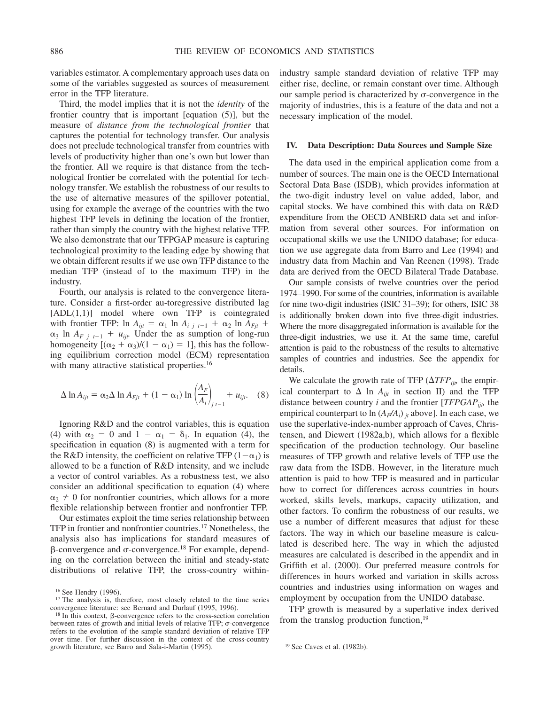variables estimator. A complementary approach uses data on some of the variables suggested as sources of measurement error in the TFP literature.

Third, the model implies that it is not the *identity* of the frontier country that is important [equation (5)], but the measure of *distance from the technological frontier* that captures the potential for technology transfer. Our analysis does not preclude technological transfer from countries with levels of productivity higher than one's own but lower than the frontier. All we require is that distance from the technological frontier be correlated with the potential for technology transfer. We establish the robustness of our results to the use of alternative measures of the spillover potential, using for example the average of the countries with the two highest TFP levels in defining the location of the frontier, rather than simply the country with the highest relative TFP. We also demonstrate that our TFPGAP measure is capturing technological proximity to the leading edge by showing that we obtain different results if we use own TFP distance to the median TFP (instead of to the maximum TFP) in the industry.

Fourth, our analysis is related to the convergence literature. Consider a first-order au-toregressive distributed lag  $[ADL(1,1)]$  model where own TFP is cointegrated with frontier TFP:  $\ln A_{ijt} = \alpha_1 \ln A_{i}$   $i \neq 1$  +  $\alpha_2 \ln A_{Fjt}$  +  $\alpha_3$  ln *A<sub>F j<sub>t</sub>*-1</sub> +  $u_{ijt}$ . Under the as sumption of long-run homogeneity  $[(\alpha_2 + \alpha_3)/(1 - \alpha_1) = 1]$ , this has the following equilibrium correction model (ECM) representation with many attractive statistical properties.<sup>16</sup>

$$
\Delta \ln A_{ijt} = \alpha_2 \Delta \ln A_{Fjt} + (1 - \alpha_1) \ln \left( \frac{A_F}{A_i} \right)_{j \ t-1} + u_{ijt}. \quad (8)
$$

Ignoring R&D and the control variables, this is equation (4) with  $\alpha_2 = 0$  and  $1 - \alpha_1 = \delta_1$ . In equation (4), the specification in equation (8) is augmented with a term for the R&D intensity, the coefficient on relative TFP  $(1-\alpha_1)$  is allowed to be a function of R&D intensity, and we include a vector of control variables. As a robustness test, we also consider an additional specification to equation (4) where  $\alpha_2 \neq 0$  for nonfrontier countries, which allows for a more flexible relationship between frontier and nonfrontier TFP.

Our estimates exploit the time series relationship between TFP in frontier and nonfrontier countries.17 Nonetheless, the analysis also has implications for standard measures of  $\beta$ -convergence and  $\sigma$ -convergence.<sup>18</sup> For example, depending on the correlation between the initial and steady-state distributions of relative TFP, the cross-country withinindustry sample standard deviation of relative TFP may either rise, decline, or remain constant over time. Although our sample period is characterized by  $\sigma$ -convergence in the majority of industries, this is a feature of the data and not a necessary implication of the model.

# **IV. Data Description: Data Sources and Sample Size**

The data used in the empirical application come from a number of sources. The main one is the OECD International Sectoral Data Base (ISDB), which provides information at the two-digit industry level on value added, labor, and capital stocks. We have combined this with data on R&D expenditure from the OECD ANBERD data set and information from several other sources. For information on occupational skills we use the UNIDO database; for education we use aggregate data from Barro and Lee (1994) and industry data from Machin and Van Reenen (1998). Trade data are derived from the OECD Bilateral Trade Database.

Our sample consists of twelve countries over the period 1974–1990. For some of the countries, information is available for nine two-digit industries (ISIC 31–39); for others, ISIC 38 is additionally broken down into five three-digit industries. Where the more disaggregated information is available for the three-digit industries, we use it. At the same time, careful attention is paid to the robustness of the results to alternative samples of countries and industries. See the appendix for details.

We calculate the growth rate of TFP  $(\Delta TFP_{ijb})$  the empirical counterpart to  $\Delta$  ln  $A_{ijt}$  in section II) and the TFP distance between country *i* and the frontier [*TFPGAPijt,* the empirical counterpart to  $\ln (A_F/A_i)$  *j<sub>t</sub>* above]. In each case, we use the superlative-index-number approach of Caves, Christensen, and Diewert (1982a,b), which allows for a flexible specification of the production technology. Our baseline measures of TFP growth and relative levels of TFP use the raw data from the ISDB. However, in the literature much attention is paid to how TFP is measured and in particular how to correct for differences across countries in hours worked, skills levels, markups, capacity utilization, and other factors. To confirm the robustness of our results, we use a number of different measures that adjust for these factors. The way in which our baseline measure is calculated is described here. The way in which the adjusted measures are calculated is described in the appendix and in Griffith et al. (2000). Our preferred measure controls for differences in hours worked and variation in skills across countries and industries using information on wages and employment by occupation from the UNIDO database.

TFP growth is measured by a superlative index derived from the translog production function,19

<sup>16</sup> See Hendry (1996).

<sup>&</sup>lt;sup>17</sup> The analysis is, therefore, most closely related to the time series convergence literature: see Bernard and Durlauf (1995, 1996).

 $18$  In this context,  $\beta$ -convergence refers to the cross-section correlation between rates of growth and initial levels of relative TFP;  $\sigma$ -convergence refers to the evolution of the sample standard deviation of relative TFP over time. For further discussion in the context of the cross-country growth literature, see Barro and Sala-i-Martin (1995). <sup>19</sup> See Caves et al. (1982b).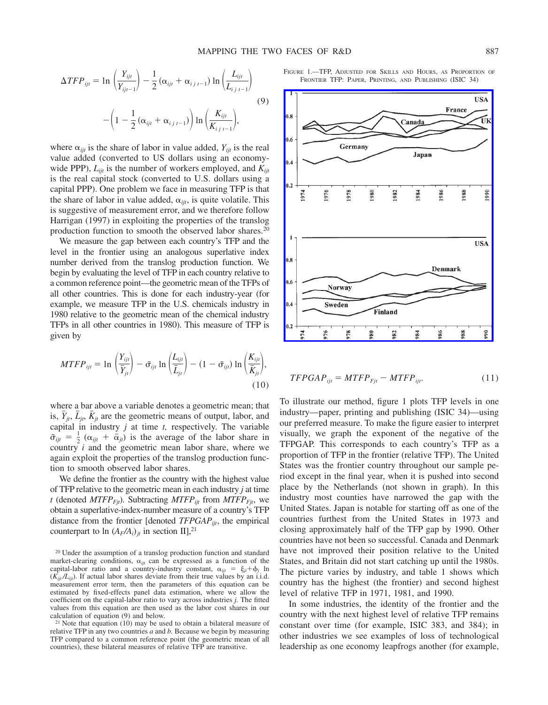$$
\Delta TFP_{ijt} = \ln \left( \frac{Y_{ijt}}{Y_{ijt-1}} \right) - \frac{1}{2} \left( \alpha_{ijt} + \alpha_{i j t-1} \right) \ln \left( \frac{L_{ijt}}{L_{i j t-1}} \right)
$$
  
-  $\left( 1 - \frac{1}{2} \left( \alpha_{ijt} + \alpha_{i j t-1} \right) \right) \ln \left( \frac{K_{ijt}}{K_{i j t-1}} \right),$  (9)

where  $\alpha_{ijt}$  is the share of labor in value added,  $Y_{ijt}$  is the real value added (converted to US dollars using an economywide PPP),  $L_{iit}$  is the number of workers employed, and  $K_{iit}$ is the real capital stock (converted to U.S. dollars using a capital PPP). One problem we face in measuring TFP is that the share of labor in value added,  $\alpha_{ijt}$ , is quite volatile. This is suggestive of measurement error, and we therefore follow Harrigan (1997) in exploiting the properties of the translog production function to smooth the observed labor shares.20

We measure the gap between each country's TFP and the level in the frontier using an analogous superlative index number derived from the translog production function. We begin by evaluating the level of TFP in each country relative to a common reference point—the geometric mean of the TFPs of all other countries. This is done for each industry-year (for example, we measure TFP in the U.S. chemicals industry in 1980 relative to the geometric mean of the chemical industry TFPs in all other countries in 1980). This measure of TFP is given by

$$
MTFP_{ijt} = \ln\left(\frac{Y_{ijt}}{\bar{Y}_{jt}}\right) - \tilde{\sigma}_{ijt} \ln\left(\frac{L_{ijt}}{\bar{L}_{jt}}\right) - (1 - \tilde{\sigma}_{ijt}) \ln\left(\frac{K_{ijt}}{\bar{K}_{jt}}\right),\tag{10}
$$

where a bar above a variable denotes a geometric mean; that is,  $\bar{Y}_{it}$ ,  $\bar{L}_{it}$ ,  $\bar{K}_{it}$  are the geometric means of output, labor, and capital in industry *j* at time *t,* respectively. The variable  $\tilde{\sigma}_{ijt} = \frac{1}{2} (\alpha_{ijt} + \bar{\alpha}_{jt})$  is the average of the labor share in country *i* and the geometric mean labor share, where we again exploit the properties of the translog production function to smooth observed labor shares.

We define the frontier as the country with the highest value of TFP relative to the geometric mean in each industry *j* at time *t* (denoted  $MTFP_{Fit}$ ). Subtracting  $MTFP_{ijt}$  from  $MTFP_{Fit}$ , we obtain a superlative-index-number measure of a country's TFP distance from the frontier [denoted *TFPGAPijt*, the empirical counterpart to  $\ln (A_F/A_i)_i$  in section II],<sup>21</sup>

FIGURE 1.—TFP, ADJUSTED FOR SKILLS AND HOURS, AS PROPORTION OF FRONTIER TFP: PAPER, PRINTING, AND PUBLISHING (ISIC 34)



$$
TFPGAP_{ijt} = MTFP_{Fjt} - MTFP_{ijt}.
$$
 (11)

To illustrate our method, figure 1 plots TFP levels in one industry—paper, printing and publishing (ISIC 34)—using our preferred measure. To make the figure easier to interpret visually, we graph the exponent of the negative of the TFPGAP. This corresponds to each country's TFP as a proportion of TFP in the frontier (relative TFP). The United States was the frontier country throughout our sample period except in the final year, when it is pushed into second place by the Netherlands (not shown in graph). In this industry most counties have narrowed the gap with the United States. Japan is notable for starting off as one of the countries furthest from the United States in 1973 and closing approximately half of the TFP gap by 1990. Other countries have not been so successful. Canada and Denmark have not improved their position relative to the United States, and Britain did not start catching up until the 1980s. The picture varies by industry, and table 1 shows which country has the highest (the frontier) and second highest level of relative TFP in 1971, 1981, and 1990.

In some industries, the identity of the frontier and the country with the next highest level of relative TFP remains constant over time (for example, ISIC 383, and 384); in other industries we see examples of loss of technological leadership as one economy leapfrogs another (for example,

<sup>&</sup>lt;sup>20</sup> Under the assumption of a translog production function and standard market-clearing conditions,  $\alpha_{ijt}$  can be expressed as a function of the capital-labor ratio and a country-industry constant,  $\alpha_{ijt} = \xi_{ji} + \phi_j$  ln  $(K_{iit}/L_{ii})$ . If actual labor shares deviate from their true values by an i.i.d. measurement error term, then the parameters of this equation can be estimated by fixed-effects panel data estimation, where we allow the coefficient on the capital-labor ratio to vary across industries *j.* The fitted values from this equation are then used as the labor cost shares in our calculation of equation (9) and below.

<sup>&</sup>lt;sup>21</sup> Note that equation (10) may be used to obtain a bilateral measure of relative TFP in any two countries *a* and *b.* Because we begin by measuring TFP compared to a common reference point (the geometric mean of all countries), these bilateral measures of relative TFP are transitive.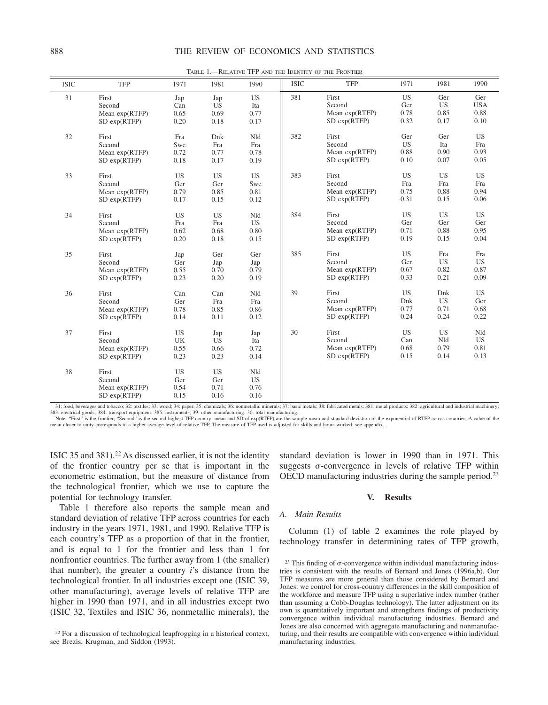| <b>ISIC</b> | <b>TFP</b>                                             | 1971                             | 1981                             | 1990                             | <b>ISIC</b> | <b>TFP</b>                                             | 1971                             | 1981                             | 1990                              |
|-------------|--------------------------------------------------------|----------------------------------|----------------------------------|----------------------------------|-------------|--------------------------------------------------------|----------------------------------|----------------------------------|-----------------------------------|
| 31          | First<br>Second<br>Mean $exp(RTFP)$<br>$SD \exp(RTFP)$ | Jap<br>Can<br>0.65<br>0.20       | Jap<br><b>US</b><br>0.69<br>0.18 | <b>US</b><br>Ita<br>0.77<br>0.17 | 381         | First<br>Second<br>Mean $exp(RTFP)$<br>$SD \exp(RTFP)$ | <b>US</b><br>Ger<br>0.78<br>0.32 | Ger<br><b>US</b><br>0.85<br>0.17 | Ger<br><b>USA</b><br>0.88<br>0.10 |
| 32          | First<br>Second<br>Mean $exp(RTFP)$<br>SD exp(RTFP)    | Fra<br>Swe<br>0.72<br>0.18       | Dnk<br>Fra<br>0.77<br>0.17       | Nld<br>Fra<br>0.78<br>0.19       | 382         | First<br>Second<br>Mean exp(RTFP)<br>$SD \exp(RTFP)$   | Ger<br><b>US</b><br>0.88<br>0.10 | Ger<br>Ita<br>0.90<br>0.07       | <b>US</b><br>Fra<br>0.93<br>0.05  |
| 33          | First<br>Second<br>Mean $exp(RTFP)$<br>SD exp(RTFP)    | <b>US</b><br>Ger<br>0.79<br>0.17 | <b>US</b><br>Ger<br>0.85<br>0.15 | <b>US</b><br>Swe<br>0.81<br>0.12 | 383         | First<br>Second<br>Mean exp(RTFP)<br>$SD \exp(RTFP)$   | <b>US</b><br>Fra<br>0.75<br>0.31 | <b>US</b><br>Fra<br>0.88<br>0.15 | <b>US</b><br>Fra<br>0.94<br>0.06  |
| 34          | First<br>Second<br>Mean $exp(RTFP)$<br>$SD \exp(RTFP)$ | US<br>Fra<br>0.62<br>0.20        | <b>US</b><br>Fra<br>0.68<br>0.18 | Nld<br><b>US</b><br>0.80<br>0.15 | 384         | First<br>Second<br>Mean $exp(RTFP)$<br>$SD \exp(RTFP)$ | <b>US</b><br>Ger<br>0.71<br>0.19 | <b>US</b><br>Ger<br>0.88<br>0.15 | <b>US</b><br>Ger<br>0.95<br>0.04  |
| 35          | First<br>Second<br>Mean $exp(RTFP)$<br>SD exp(RTFP)    | Jap<br>Ger<br>0.55<br>0.23       | Ger<br>Jap<br>0.70<br>0.20       | Ger<br>Jap<br>0.79<br>0.19       | 385         | First<br>Second<br>Mean exp(RTFP)<br>$SD \exp(RTFP)$   | <b>US</b><br>Ger<br>0.67<br>0.33 | Fra<br><b>US</b><br>0.82<br>0.21 | Fra<br><b>US</b><br>0.87<br>0.09  |
| 36          | First<br>Second<br>Mean exp(RTFP)<br>$SD \exp(RTFP)$   | Can<br>Ger<br>0.78<br>0.14       | Can<br>Fra<br>0.85<br>0.11       | Nld<br>Fra<br>0.86<br>0.12       | 39          | First<br>Second<br>Mean $exp(RTFP)$<br>$SD \exp(RTFP)$ | <b>US</b><br>Dnk<br>0.77<br>0.24 | Dnk<br><b>US</b><br>0.71<br>0.24 | <b>US</b><br>Ger<br>0.68<br>0.22  |
| 37          | First<br>Second<br>Mean $exp(RTFP)$<br>$SD \exp(RTFP)$ | <b>US</b><br>UK<br>0.55<br>0.23  | Jap<br><b>US</b><br>0.66<br>0.23 | Jap<br>Ita<br>0.72<br>0.14       | 30          | First<br>Second<br>Mean exp(RTFP)<br>$SD \exp(RTFP)$   | <b>US</b><br>Can<br>0.68<br>0.15 | <b>US</b><br>Nld<br>0.79<br>0.14 | Nld<br><b>US</b><br>0.81<br>0.13  |
| 38          | First<br>Second<br>Mean $exp(RTFP)$<br>SD exp(RTFP)    | <b>US</b><br>Ger<br>0.54<br>0.15 | <b>US</b><br>Ger<br>0.71<br>0.16 | Nld<br><b>US</b><br>0.76<br>0.16 |             |                                                        |                                  |                                  |                                   |

TABLE 1.—RELATIVE TFP AND THE IDENTITY OF THE FRONTIER

31: food, beverages and tobacco; 32: textiles; 33: wood; 34: paper; 35: chemicals; 36: nonmetallic minerals; 37: basic metals; 38: fabricated metals; 381: metal products; 382: agricultural and industrial machinery; 383: electrical goods; 384: transport equipment; 385: instruments; 39: other manufacturing; 30: total manufacturing.<br>Note: "First" is the frontier; "Second" is the second highest TFP country; mean and SD of exp(RTFP) are t

mean closer to unity corresponds to a higher average level of relative TFP. The measure of TFP used is adjusted for skills and hours worked; see appendix.

ISIC 35 and 381).22 As discussed earlier, it is not the identity of the frontier country per se that is important in the econometric estimation, but the measure of distance from the technological frontier, which we use to capture the potential for technology transfer.

Table 1 therefore also reports the sample mean and standard deviation of relative TFP across countries for each industry in the years 1971, 1981, and 1990. Relative TFP is each country's TFP as a proportion of that in the frontier, and is equal to 1 for the frontier and less than 1 for nonfrontier countries. The further away from 1 (the smaller) that number), the greater a country *i*'s distance from the technological frontier. In all industries except one (ISIC 39, other manufacturing), average levels of relative TFP are higher in 1990 than 1971, and in all industries except two (ISIC 32, Textiles and ISIC 36, nonmetallic minerals), the standard deviation is lower in 1990 than in 1971. This suggests  $\sigma$ -convergence in levels of relative TFP within OECD manufacturing industries during the sample period.23

### **V. Results**

### *A. Main Results*

Column (1) of table 2 examines the role played by technology transfer in determining rates of TFP growth,

<sup>&</sup>lt;sup>22</sup> For a discussion of technological leapfrogging in a historical context, see Brezis, Krugman, and Siddon (1993).

 $23$  This finding of  $\sigma$ -convergence within individual manufacturing industries is consistent with the results of Bernard and Jones (1996a,b). Our TFP measures are more general than those considered by Bernard and Jones: we control for cross-country differences in the skill composition of the workforce and measure TFP using a superlative index number (rather than assuming a Cobb-Douglas technology). The latter adjustment on its own is quantitatively important and strengthens findings of productivity convergence within individual manufacturing industries. Bernard and Jones are also concerned with aggregate manufacturing and nonmanufacturing, and their results are compatible with convergence within individual manufacturing industries.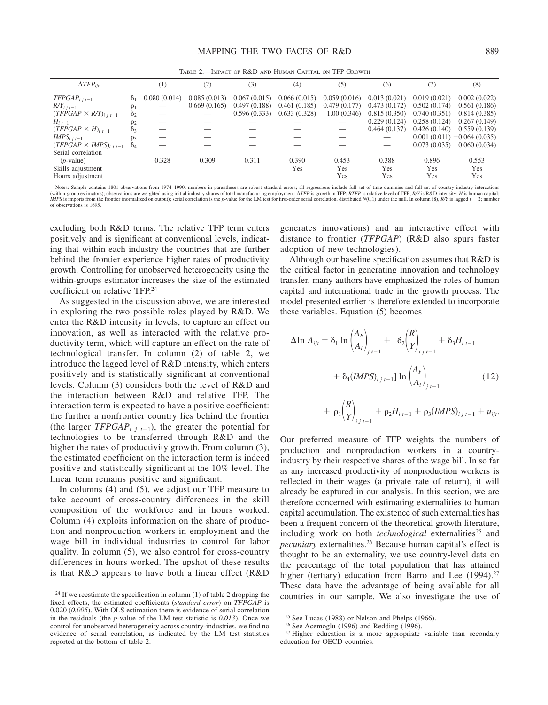TABLE 2.—IMPACT OF R&D AND HUMAN CAPITAL ON TFP GROWTH

| $\Delta TFP_{\text{iit}}$        |            | $^{(1)}$     | (2)          | (3)          | (4)          | (5)          | (6)          | (7)          | (8)                           |
|----------------------------------|------------|--------------|--------------|--------------|--------------|--------------|--------------|--------------|-------------------------------|
| $TFPGAP_{i,i-1}$                 | $\delta_1$ | 0.080(0.014) | 0.085(0.013) | 0.067(0.015) | 0.066(0.015) | 0.059(0.016) | 0.013(0.021) | 0.019(0.021) | 0.002(0.022)                  |
| $R/Y_{i,i-1}$                    | $\rho_1$   |              | 0.669(0.165) | 0.497(0.188) | 0.461(0.185) | 0.479(0.177) | 0.473(0.172) | 0.502(0.174) | 0.561(0.186)                  |
| $(TFPGAP \times R/Y)_{i,i,t-1}$  | $\delta_2$ |              |              | 0.596(0.333) | 0.633(0.328) | 1.00(0.346)  | 0.815(0.350) | 0.740(0.351) | 0.814(0.385)                  |
| $H_{i,t-1}$                      | $\rho_2$   |              |              |              |              |              | 0.229(0.124) | 0.258(0.124) | 0.267(0.149)                  |
| $(TFPGAP \times H)_{i,t-1}$      | $\delta_3$ |              |              |              |              |              | 0.464(0.137) | 0.426(0.140) | 0.559(0.139)                  |
| $IMPS_{i,i-1}$                   | $\rho_3$   |              |              |              |              |              |              |              | $0.001(0.011) - 0.064(0.035)$ |
| $(TFPGAP \times IMPS)_{i,i,t-1}$ | $\delta_4$ |              |              |              |              |              |              | 0.073(0.035) | 0.060(0.034)                  |
| Serial correlation               |            |              |              |              |              |              |              |              |                               |
| $(p$ -value)                     |            | 0.328        | 0.309        | 0.311        | 0.390        | 0.453        | 0.388        | 0.896        | 0.553                         |
| Skills adjustment                |            |              |              |              | Yes          | <b>Yes</b>   | <b>Yes</b>   | <b>Yes</b>   | <b>Yes</b>                    |
| Hours adjustment                 |            |              |              |              |              | Yes          | Yes          | Yes          | Yes                           |

Notes: Sample contains 1801 observations from 1974–1990; numbers in parentheses are robust standard errors; all regressions include full set of time dummies and full set of country-industry interactions (within-group estimators); observations are weighted using initial industry shares of total manufacturing employment:  $\Delta TFP$  is growth in TFP: RTFP is relative level of TFP: RNY is R&D intensity: H is human capital; IMPS is imports from the frontier (normalized on output); serial correlation is the p-value for the LM test for first-order serial correlation, distributed  $N(0,1)$  under the null. In column (8), RN is lagged  $t - 2$ ; null of observations is 1695.

excluding both R&D terms. The relative TFP term enters positively and is significant at conventional levels, indicating that within each industry the countries that are further behind the frontier experience higher rates of productivity growth. Controlling for unobserved heterogeneity using the within-groups estimator increases the size of the estimated coefficient on relative TFP.24

As suggested in the discussion above, we are interested in exploring the two possible roles played by R&D. We enter the R&D intensity in levels, to capture an effect on innovation, as well as interacted with the relative productivity term, which will capture an effect on the rate of technological transfer. In column (2) of table 2, we introduce the lagged level of R&D intensity, which enters positively and is statistically significant at conventional levels. Column (3) considers both the level of R&D and the interaction between R&D and relative TFP. The interaction term is expected to have a positive coefficient: the further a nonfrontier country lies behind the frontier (the larger *TFPGAP<sub>ijt<sup>1</sup>1</sub>*), the greater the potential for technologies to be transferred through R&D and the higher the rates of productivity growth. From column (3), the estimated coefficient on the interaction term is indeed positive and statistically significant at the 10% level. The linear term remains positive and significant.

In columns (4) and (5), we adjust our TFP measure to take account of cross-country differences in the skill composition of the workforce and in hours worked. Column (4) exploits information on the share of production and nonproduction workers in employment and the wage bill in individual industries to control for labor quality. In column (5), we also control for cross-country differences in hours worked. The upshot of these results is that R&D appears to have both a linear effect (R&D

generates innovations) and an interactive effect with distance to frontier (*TFPGAP*) (R&D also spurs faster adoption of new technologies).

Although our baseline specification assumes that R&D is the critical factor in generating innovation and technology transfer, many authors have emphasized the roles of human capital and international trade in the growth process. The model presented earlier is therefore extended to incorporate these variables. Equation (5) becomes

$$
\Delta \ln A_{ijt} = \delta_1 \ln \left(\frac{A_F}{A_i}\right)_{j \ t-1} + \left[\delta_2 \left(\frac{R}{Y}\right)_{i \ j \ t-1} + \delta_3 H_{i \ t-1} + \delta_4 (IMPS)_{i \ j \ t-1} \right] \ln \left(\frac{A_F}{A_i}\right)_{j \ t-1} \tag{12}
$$

$$
+ \rho_1\left(\frac{R}{Y}\right)_{i\,j\,t-1} + \rho_2 H_{i\,t-1} + \rho_3 (IMPS)_{i\,j\,t-1} + u_{ijt}.
$$

Our preferred measure of TFP weights the numbers of production and nonproduction workers in a countryindustry by their respective shares of the wage bill. In so far as any increased productivity of nonproduction workers is reflected in their wages (a private rate of return), it will already be captured in our analysis. In this section, we are therefore concerned with estimating externalities to human capital accumulation. The existence of such externalities has been a frequent concern of the theoretical growth literature, including work on both *technological* externalities<sup>25</sup> and *pecuniary* externalities.26 Because human capital's effect is thought to be an externality, we use country-level data on the percentage of the total population that has attained higher (tertiary) education from Barro and Lee (1994).<sup>27</sup> These data have the advantage of being available for all <sup>24</sup> If we reestimate the specification in column (1) of table 2 dropping the countries in our sample. We also investigate the use of

fixed effects, the estimated coefficients (*standard error*) on *TFPGAP* is 0.020 (*0.005*). With OLS estimation there is evidence of serial correlation in the residuals (the *p*-value of the LM test statistic is *0.013*). Once we control for unobserved heterogeneity across country-industries, we find no evidence of serial correlation, as indicated by the LM test statistics reported at the bottom of table 2.

 $25$  See Lucas (1988) or Nelson and Phelps (1966).

<sup>26</sup> See Acemoglu (1996) and Redding (1996).

<sup>&</sup>lt;sup>27</sup> Higher education is a more appropriate variable than secondary education for OECD countries.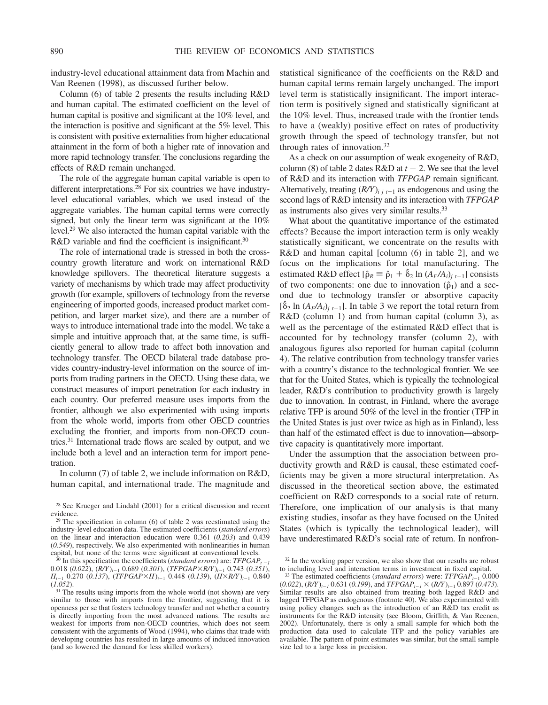industry-level educational attainment data from Machin and Van Reenen (1998), as discussed further below.

Column (6) of table 2 presents the results including R&D and human capital. The estimated coefficient on the level of human capital is positive and significant at the 10% level, and the interaction is positive and significant at the 5% level. This is consistent with positive externalities from higher educational attainment in the form of both a higher rate of innovation and more rapid technology transfer. The conclusions regarding the effects of R&D remain unchanged.

The role of the aggregate human capital variable is open to different interpretations.<sup>28</sup> For six countries we have industrylevel educational variables, which we used instead of the aggregate variables. The human capital terms were correctly signed, but only the linear term was significant at the 10% level.29 We also interacted the human capital variable with the R&D variable and find the coefficient is insignificant.<sup>30</sup>

The role of international trade is stressed in both the crosscountry growth literature and work on international R&D knowledge spillovers. The theoretical literature suggests a variety of mechanisms by which trade may affect productivity growth (for example, spillovers of technology from the reverse engineering of imported goods, increased product market competition, and larger market size), and there are a number of ways to introduce international trade into the model. We take a simple and intuitive approach that, at the same time, is sufficiently general to allow trade to affect both innovation and technology transfer. The OECD bilateral trade database provides country-industry-level information on the source of imports from trading partners in the OECD. Using these data, we construct measures of import penetration for each industry in each country. Our preferred measure uses imports from the frontier, although we also experimented with using imports from the whole world, imports from other OECD countries excluding the frontier, and imports from non-OECD countries.31 International trade flows are scaled by output, and we include both a level and an interaction term for import penetration.

In column (7) of table 2, we include information on R&D, human capital, and international trade. The magnitude and statistical significance of the coefficients on the R&D and human capital terms remain largely unchanged. The import level term is statistically insignificant. The import interaction term is positively signed and statistically significant at the 10% level. Thus, increased trade with the frontier tends to have a (weakly) positive effect on rates of productivity growth through the speed of technology transfer, but not through rates of innovation.32

As a check on our assumption of weak exogeneity of R&D, column (8) of table 2 dates  $R&D$  at  $t-2$ . We see that the level of R&D and its interaction with *TFPGAP* remain significant. Alternatively, treating  $(R/Y)$ <sub>i  $j$ t<sup>-1</sup></sub> as endogenous and using the second lags of R&D intensity and its interaction with *TFPGAP* as instruments also gives very similar results.33

What about the quantitative importance of the estimated effects? Because the import interaction term is only weakly statistically significant, we concentrate on the results with R&D and human capital [column (6) in table 2], and we focus on the implications for total manufacturing. The estimated R&D effect  $[\hat{\rho}_R = \hat{\rho}_1 + \hat{\delta}_2 \ln (A_F/A_i)_{i,t-1}]$  consists of two components: one due to innovation  $(\hat{\rho}_1)$  and a second due to technology transfer or absorptive capacity  $[\hat{\delta}_2 \ln (A_F/A_i)_{i,t-1}]$ . In table 3 we report the total return from R&D (column 1) and from human capital (column 3), as well as the percentage of the estimated R&D effect that is accounted for by technology transfer (column 2), with analogous figures also reported for human capital (column 4). The relative contribution from technology transfer varies with a country's distance to the technological frontier. We see that for the United States, which is typically the technological leader, R&D's contribution to productivity growth is largely due to innovation. In contrast, in Finland, where the average relative TFP is around 50% of the level in the frontier (TFP in the United States is just over twice as high as in Finland), less than half of the estimated effect is due to innovation—absorptive capacity is quantitatively more important.

Under the assumption that the association between productivity growth and R&D is causal, these estimated coefficients may be given a more structural interpretation. As discussed in the theoretical section above, the estimated coefficient on R&D corresponds to a social rate of return. Therefore, one implication of our analysis is that many existing studies, insofar as they have focused on the United States (which is typically the technological leader), will have underestimated R&D's social rate of return. In nonfron-

<sup>28</sup> See Krueger and Lindahl (2001) for a critical discussion and recent evidence.

 $29$  The specification in column (6) of table 2 was reestimated using the industry-level education data. The estimated coefficients (*standard errors*) on the linear and interaction education were 0.361 (*0.203*) and 0.439 (*0.549*), respectively. We also experimented with nonlinearities in human capital, but none of the terms were significant at conventional levels.

 $30$  In this specification the coefficients (*standard errors*) are:  $TFPGAP_{t-1}$ 0.018 (0.022),  $(R/Y)_{t-1}$  0.689 (0.301),  $(TFPGAP \times R/Y)_{t-1}$  0.743 (0.351), *H*<sub>1-1</sub> 0.270 (0.137), (*TFPGAP* $\times$ *H*)<sub>*t*-1</sub> 0.448 (0.139), (*H* $\times$ *R*/*Y*)<sub>*t*-1</sub> 0.840 (*1.052*).

<sup>&</sup>lt;sup>31</sup> The results using imports from the whole world (not shown) are very similar to those with imports from the frontier, suggesting that it is openness per se that fosters technology transfer and not whether a country is directly importing from the most advanced nations. The results are weakest for imports from non-OECD countries, which does not seem consistent with the arguments of Wood (1994), who claims that trade with developing countries has resulted in large amounts of induced innovation (and so lowered the demand for less skilled workers).

<sup>&</sup>lt;sup>32</sup> In the working paper version, we also show that our results are robust to including level and interaction terms in investment in fixed capital.

<sup>&</sup>lt;sup>33</sup> The estimated coefficients (*standard errors*) were: *TFPGAP<sub>t-1</sub>* 0.000  $(0.022)$ ,  $(R/Y)_{t-1}$  0.631 (0.199), and *TFPGAP*<sub>t-1</sub>  $\times$   $(R/Y)_{t-1}$  0.897 (0.473). Similar results are also obtained from treating both lagged R&D and lagged TFPGAP as endogenous (footnote 40). We also experimented with using policy changes such as the introduction of an R&D tax credit as instruments for the R&D intensity (see Bloom, Griffith, & Van Reenen, 2002). Unfortunately, there is only a small sample for which both the production data used to calculate TFP and the policy variables are available. The pattern of point estimates was similar, but the small sample size led to a large loss in precision.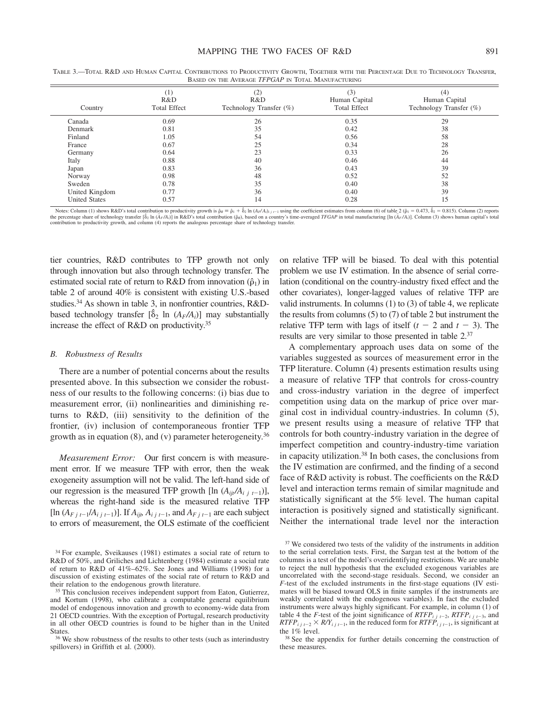| Country              | (1)<br>R&D<br><b>Total Effect</b> | (2)<br>R&D<br>Technology Transfer (%) | (3)<br>Human Capital<br><b>Total Effect</b> | (4)<br>Human Capital<br>Technology Transfer (%) |
|----------------------|-----------------------------------|---------------------------------------|---------------------------------------------|-------------------------------------------------|
| Canada               | 0.69                              | 26                                    | 0.35                                        | 29                                              |
| Denmark              | 0.81                              | 35                                    | 0.42                                        | 38                                              |
| Finland              | 1.05                              | 54                                    | 0.56                                        | 58                                              |
| France               | 0.67                              | 25                                    | 0.34                                        | 28                                              |
| Germany              | 0.64                              | 23                                    | 0.33                                        | 26                                              |
| Italy                | 0.88                              | 40                                    | 0.46                                        | 44                                              |
| Japan                | 0.83                              | 36                                    | 0.43                                        | 39                                              |
| Norway               | 0.98                              | 48                                    | 0.52                                        | 52                                              |
| Sweden               | 0.78                              | 35                                    | 0.40                                        | 38                                              |
| United Kingdom       | 0.77                              | 36                                    | 0.40                                        | 39                                              |
| <b>United States</b> | 0.57                              | 14                                    | 0.28                                        | 15                                              |

TABLE 3.—TOTAL R&D AND HUMAN CAPITAL CONTRIBUTIONS TO PRODUCTIVITY GROWTH, TOGETHER WITH THE PERCENTAGE DUE TO TECHNOLOGY TRANSFER, BASED ON THE AVERAGE *TFPGAP* IN TOTAL MANUFACTURING

Notes: Column (1) shows R&D's total contribution to productivity growth is  $\hat{p}_R = \hat{p}_1 + \hat{p}_2 \ln (A_F/A)_{i,j}$  is using the coefficient estimates from column (6) of table 2 ( $\hat{p}_1 = 0.473$ ,  $\hat{p}_2 = 0.815$ ). Column (2) rep the percentage share of technology transfer  $[\hat{\delta}_2 \ln(\bar{A}_F/A_i)]$  in R&D's total contribution  $(\hat{\rho}_R)$ , based on a country's time-averaged TFGAP in total manufacturing [ $\ln(\bar{A}_F/A_i)$ ]. Column (3) shows human capital's tota contribution to productivity growth, and column (4) reports the analogous percentage share of technology transfer.

tier countries, R&D contributes to TFP growth not only through innovation but also through technology transfer. The estimated social rate of return to R&D from innovation  $(\hat{\rho}_1)$  in table 2 of around 40% is consistent with existing U.S.-based studies.<sup>34</sup> As shown in table 3, in nonfrontier countries,  $R&D$ based technology transfer  $[\hat{\delta}_2 \ln (A_F/A_i)]$  may substantially increase the effect of R&D on productivity.35

#### *B. Robustness of Results*

There are a number of potential concerns about the results presented above. In this subsection we consider the robustness of our results to the following concerns: (i) bias due to measurement error, (ii) nonlinearities and diminishing returns to R&D, (iii) sensitivity to the definition of the frontier, (iv) inclusion of contemporaneous frontier TFP growth as in equation (8), and (y) parameter heterogeneity.<sup>36</sup>

*Measurement Error:* Our first concern is with measurement error. If we measure TFP with error, then the weak exogeneity assumption will not be valid. The left-hand side of our regression is the measured TFP growth [ln  $(A_{ii}/A_{i,i+1})$ ], whereas the right-hand side is the measured relative TFP [ $\ln (A_{Fj}t-1}/A_{i j}t-1)$ ]. If  $A_{ij}A_{i j}t-1$ , and  $A_{Fj}t-1$  are each subject to errors of measurement, the OLS estimate of the coefficient on relative TFP will be biased. To deal with this potential problem we use IV estimation. In the absence of serial correlation (conditional on the country-industry fixed effect and the other covariates), longer-lagged values of relative TFP are valid instruments. In columns (1) to (3) of table 4, we replicate the results from columns (5) to (7) of table 2 but instrument the relative TFP term with lags of itself  $(t - 2$  and  $t - 3)$ . The results are very similar to those presented in table 2.37

A complementary approach uses data on some of the variables suggested as sources of measurement error in the TFP literature. Column (4) presents estimation results using a measure of relative TFP that controls for cross-country and cross-industry variation in the degree of imperfect competition using data on the markup of price over marginal cost in individual country-industries. In column (5), we present results using a measure of relative TFP that controls for both country-industry variation in the degree of imperfect competition and country-industry-time variation in capacity utilization.38 In both cases, the conclusions from the IV estimation are confirmed, and the finding of a second face of R&D activity is robust. The coefficients on the R&D level and interaction terms remain of similar magnitude and statistically significant at the 5% level. The human capital interaction is positively signed and statistically significant. Neither the international trade level nor the interaction

<sup>34</sup> For example, Sveikauses (1981) estimates a social rate of return to R&D of 50%, and Griliches and Lichtenberg (1984) estimate a social rate of return to R&D of 41%–62%. See Jones and Williams (1998) for a discussion of existing estimates of the social rate of return to R&D and their relation to the endogenous growth literature.

<sup>&</sup>lt;sup>35</sup> This conclusion receives independent support from Eaton, Gutierrez, and Kortum (1998), who calibrate a computable general equilibrium model of endogenous innovation and growth to economy-wide data from 21 OECD countries. With the exception of Portugal, research productivity in all other OECD countries is found to be higher than in the United States.

<sup>&</sup>lt;sup>36</sup> We show robustness of the results to other tests (such as interindustry spillovers) in Griffith et al. (2000).

<sup>&</sup>lt;sup>37</sup> We considered two tests of the validity of the instruments in addition to the serial correlation tests. First, the Sargan test at the bottom of the columns is a test of the model's overidentifying restrictions. We are unable to reject the null hypothesis that the excluded exogenous variables are uncorrelated with the second-stage residuals. Second, we consider an *F*-test of the excluded instruments in the first-stage equations (IV estimates will be biased toward OLS in finite samples if the instruments are weakly correlated with the endogenous variables). In fact the excluded instruments were always highly significant. For example, in column (1) of table 4 the *F*-test of the joint significance of  $RTFP_{i}$   $_{i}$   $_{t-2}$ ,  $RTFP_{i}$   $_{i}$   $_{t-3}$ , and  $RTFP_{ij}^j$ <sub>1</sub>  $\rightarrow$  *R/Y<sub>ijt-1</sub>*, in the reduced form for  $RTFP_{ij}^j$ <sub>1-1</sub>, is significant at the 1% level.

<sup>&</sup>lt;sup>38</sup> See the appendix for further details concerning the construction of these measures.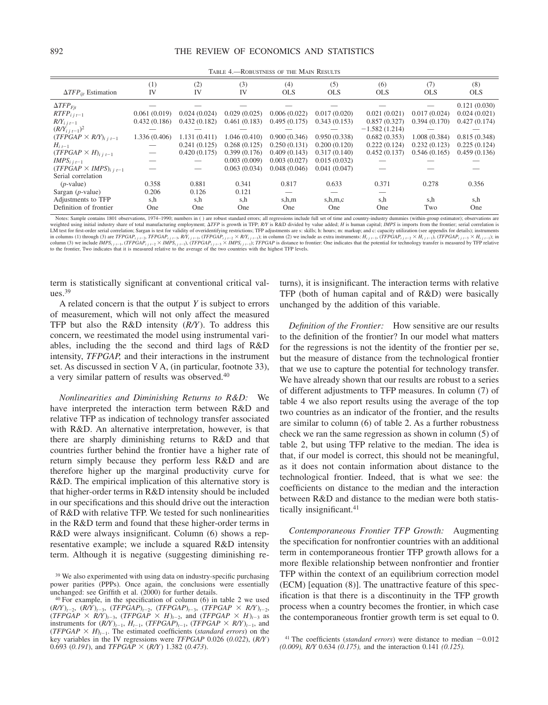|                                      | (1)           | (2)          | (3)          | (4)          | (5)          | (6)             | (7)          | (8)          |
|--------------------------------------|---------------|--------------|--------------|--------------|--------------|-----------------|--------------|--------------|
| $\Delta TFP_{\text{ijt}}$ Estimation | IV            | IV           | IV           | <b>OLS</b>   | <b>OLS</b>   | <b>OLS</b>      | <b>OLS</b>   | <b>OLS</b>   |
| $\Delta TFP_{Fit}$                   |               |              |              |              |              |                 |              | 0.121(0.030) |
| $RTFP_{i,i,t-1}$                     | 0.061(0.019)  | 0.024(0.024) | 0.029(0.025) | 0.006(0.022) | 0.017(0.020) | 0.021(0.021)    | 0.017(0.024) | 0.024(0.021) |
| $R/Y_{i,i-1}$                        | 0.432(0.186)  | 0.432(0.182) | 0.461(0.183) | 0.495(0.175) | 0.343(0.153) | 0.857(0.327)    | 0.394(0.170) | 0.427(0.174) |
| $(R/Y_{i,i-1})^2$                    |               |              |              |              |              | $-1.582(1.214)$ |              |              |
| $(TFPGAP \times R/Y)_{i,i,t-1}$      | 1.336 (0.406) | 1.131(0.411) | 1.046(0.410) | 0.900(0.346) | 0.950(0.338) | 0.682(0.353)    | 1.008(0.384) | 0.815(0.348) |
| $H_{i,t-1}$                          |               | 0.241(0.125) | 0.268(0.125) | 0.250(0.131) | 0.200(0.120) | 0.222(0.124)    | 0.232(0.123) | 0.225(0.124) |
| $(TFPGAP \times H)_{i,i,t-1}$        |               | 0.420(0.175) | 0.399(0.176) | 0.409(0.143) | 0.317(0.140) | 0.452(0.137)    | 0.546(0.165) | 0.459(0.136) |
| $IMPS_{i,i-1}$                       |               |              | 0.003(0.009) | 0.003(0.027) | 0.015(0.032) |                 |              |              |
| $(TFPGAP \times IMPS)_{i,i,t-1}$     |               |              | 0.063(0.034) | 0.048(0.046) | 0.041(0.047) |                 |              |              |
| Serial correlation                   |               |              |              |              |              |                 |              |              |
| $(p$ -value)                         | 0.358         | 0.881        | 0.341        | 0.817        | 0.633        | 0.371           | 0.278        | 0.356        |
| Sargan $(p$ -value)                  | 0.206         | 0.126        | 0.121        |              |              |                 |              |              |
| Adjustments to TFP                   | s,h           | s,h          | s,h          | s,h,m        | s, h, m, c   | s,h             | s,h          | s,h          |
| Definition of frontier               | One           | One          | One          | One          | One          | One             | Two          | One          |

TABLE 4.—ROBUSTNESS OF THE MAIN RESULTS

Notes: Sample contains 1801 observations, 1974-1990; numbers in () are robust standard errors; all regressions include full set of time and country-industry dummies (within-group estimator); observations are weighted using initial industry share of total manufacturing employment;  $\Delta TFP$  is growth in TFP; R/Y is R&D divided by value added; H is human capital; IMPS is imports from the frontier; serial correlation is<br>LM test for in columns (1) through (3) are *TFPGAP<sub>ij1</sub>-*<sub>2</sub>, *TFPGAP<sub>ij1</sub>-*<sub>3</sub>, *RPY<sub>ij1</sub>-*1, (*TFPGAP<sub>ij1</sub>-2* X *RY<sub>ij1</sub>-1*); in column (2) we include as extra instruments:  $H_{ij}$ <sub>c1</sub>, (*TFPGAP<sub>ij1</sub>-2* X  $H_{ij}$ <sub>1</sub>, (*TFPGAP<sub>ij1</sub>-3* 

term is statistically significant at conventional critical val $ues.<sup>39</sup>$ 

A related concern is that the output *Y* is subject to errors of measurement, which will not only affect the measured TFP but also the R&D intensity (*R/Y*). To address this concern, we reestimated the model using instrumental variables, including the the second and third lags of R&D intensity, *TFPGAP,* and their interactions in the instrument set. As discussed in section V A, (in particular, footnote 33), a very similar pattern of results was observed.40

*Nonlinearities and Diminishing Returns to R&D:* We have interpreted the interaction term between R&D and relative TFP as indication of technology transfer associated with R&D. An alternative interpretation, however, is that there are sharply diminishing returns to R&D and that countries further behind the frontier have a higher rate of return simply because they perform less R&D and are therefore higher up the marginal productivity curve for R&D. The empirical implication of this alternative story is that higher-order terms in R&D intensity should be included in our specifications and this should drive out the interaction of R&D with relative TFP. We tested for such nonlinearities in the R&D term and found that these higher-order terms in R&D were always insignificant. Column (6) shows a representative example; we include a squared R&D intensity term. Although it is negative (suggesting diminishing returns), it is insignificant. The interaction terms with relative TFP (both of human capital and of R&D) were basically unchanged by the addition of this variable.

*Definition of the Frontier:* How sensitive are our results to the definition of the frontier? In our model what matters for the regressions is not the identity of the frontier per se, but the measure of distance from the technological frontier that we use to capture the potential for technology transfer. We have already shown that our results are robust to a series of different adjustments to TFP measures. In column (7) of table 4 we also report results using the average of the top two countries as an indicator of the frontier, and the results are similar to column (6) of table 2. As a further robustness check we ran the same regression as shown in column (5) of table 2, but using TFP relative to the median. The idea is that, if our model is correct, this should not be meaningful, as it does not contain information about distance to the technological frontier. Indeed, that is what we see: the coefficients on distance to the median and the interaction between R&D and distance to the median were both statistically insignificant.<sup>41</sup>

*Contemporaneous Frontier TFP Growth:* Augmenting the specification for nonfrontier countries with an additional term in contemporaneous frontier TFP growth allows for a more flexible relationship between nonfrontier and frontier TFP within the context of an equilibrium correction model (ECM) [equation (8)]. The unattractive feature of this specification is that there is a discontinuity in the TFP growth process when a country becomes the frontier, in which case the contemporaneous frontier growth term is set equal to 0.

<sup>&</sup>lt;sup>39</sup> We also experimented with using data on industry-specific purchasing power parities (PPPs). Once again, the conclusions were essentially unchanged: see Griffith et al. (2000) for further details.

<sup>40</sup> For example, in the specification of column (6) in table 2 we used  $(R/Y)_{t-2}$ ,  $(R/Y)_{t-3}$ ,  $(TFPGAP)_{t-2}$ ,  $(TFPGAP)_{t-3}$ ,  $(TFPGAP \times R/Y)_{t-2}$ ,  $(TFPGAP \times R/Y)_{t=3}$ ,  $(TFPGAP \times H)_{t=2}$ , and  $(TFPGAP \times H)_{t=3}$  as instruments for  $(R/Y)_{t-1}$ ,  $H_{t-1}$ ,  $(TFPGAP)_{t-1}$ ,  $(TFPGAP \times R/Y)_{t-1}$ , and (*TFPGAP*  $\times$  *H*)<sub>*t*-1</sub>. The estimated coefficients (*standard errors*) on the key variables in the IV regressions were *TFPGAP* 0.026 (*0.022*), (*R/Y*) 0.693 (*0.191*), and *TFPGAP* (*R/Y*) 1.382 (*0.473*).

<sup>&</sup>lt;sup>41</sup> The coefficients (*standard errors*) were distance to median  $-0.012$ *(0.009), R/Y* 0.634 *(0.175),* and the interaction 0.141 *(0.125).*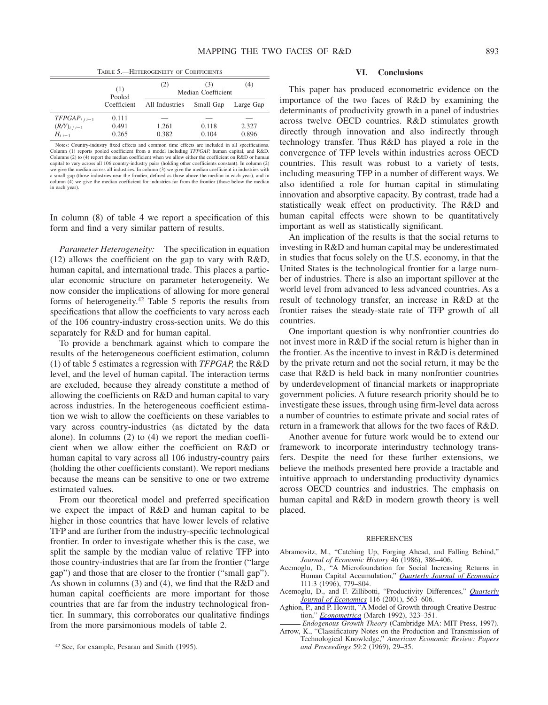TABLE 5.—HETEROGENEITY OF COEFFICIENTS

|                                                      | (1)<br>Pooled           | (2)<br>(4)<br>(3)<br>Median Coefficient |                |                |  |  |
|------------------------------------------------------|-------------------------|-----------------------------------------|----------------|----------------|--|--|
|                                                      | Coefficient             | All Industries                          | Small Gap      | Large Gap      |  |  |
| $TFPGAP_{i,i-1}$<br>$(R/Y)_{i j t-1}$<br>$H_{i,i-1}$ | 0.111<br>0.491<br>0.265 | 1.261<br>0.382                          | 0.118<br>0.104 | 2.327<br>0.896 |  |  |

Notes: Country-industry fixed effects and common time effects are included in all specifications. Column (1) reports pooled coefficient from a model including *TFPGAP,* human capital, and R&D. Columns (2) to (4) report the median coefficient when we allow either the coefficient on  $R&D$  or human capital to vary across all 106 country-industry pairs (holding other coefficients constant). In column (2) we give the median across all industries. In column (3) we give the median coefficient in industries with a small gap (those industries near the frontier, defined as those above the median in each year), and in column (4) we give the median coefficient for industries far from the frontier (those below the median in each year).

In column (8) of table 4 we report a specification of this form and find a very similar pattern of results.

*Parameter Heterogeneity:* The specification in equation (12) allows the coefficient on the gap to vary with R&D, human capital, and international trade. This places a particular economic structure on parameter heterogeneity. We now consider the implications of allowing for more general forms of heterogeneity.42 Table 5 reports the results from specifications that allow the coefficients to vary across each of the 106 country-industry cross-section units. We do this separately for R&D and for human capital.

To provide a benchmark against which to compare the results of the heterogeneous coefficient estimation, column (1) of table 5 estimates a regression with *TFPGAP,* the R&D level, and the level of human capital. The interaction terms are excluded, because they already constitute a method of allowing the coefficients on R&D and human capital to vary across industries. In the heterogeneous coefficient estimation we wish to allow the coefficients on these variables to vary across country-industries (as dictated by the data alone). In columns (2) to (4) we report the median coefficient when we allow either the coefficient on R&D or human capital to vary across all 106 industry-country pairs (holding the other coefficients constant). We report medians because the means can be sensitive to one or two extreme estimated values.

From our theoretical model and preferred specification we expect the impact of R&D and human capital to be higher in those countries that have lower levels of relative TFP and are further from the industry-specific technological frontier. In order to investigate whether this is the case, we split the sample by the median value of relative TFP into those country-industries that are far from the frontier ("large gap") and those that are closer to the frontier ("small gap"). As shown in columns (3) and (4), we find that the R&D and human capital coefficients are more important for those countries that are far from the industry technological frontier. In summary, this corroborates our qualitative findings from the more parsimonious models of table 2.

# **VI. Conclusions**

This paper has produced econometric evidence on the importance of the two faces of R&D by examining the determinants of productivity growth in a panel of industries across twelve OECD countries. R&D stimulates growth directly through innovation and also indirectly through technology transfer. Thus R&D has played a role in the convergence of TFP levels within industries across OECD countries. This result was robust to a variety of tests, including measuring TFP in a number of different ways. We also identified a role for human capital in stimulating innovation and absorptive capacity. By contrast, trade had a statistically weak effect on productivity. The R&D and human capital effects were shown to be quantitatively important as well as statistically significant.

An implication of the results is that the social returns to investing in R&D and human capital may be underestimated in studies that focus solely on the U.S. economy, in that the United States is the technological frontier for a large number of industries. There is also an important spillover at the world level from advanced to less advanced countries. As a result of technology transfer, an increase in R&D at the frontier raises the steady-state rate of TFP growth of all countries.

One important question is why nonfrontier countries do not invest more in R&D if the social return is higher than in the frontier. As the incentive to invest in R&D is determined by the private return and not the social return, it may be the case that R&D is held back in many nonfrontier countries by underdevelopment of financial markets or inappropriate government policies. A future research priority should be to investigate these issues, through using firm-level data across a number of countries to estimate private and social rates of return in a framework that allows for the two faces of R&D.

Another avenue for future work would be to extend our framework to incorporate interindustry technology transfers. Despite the need for these further extensions, we believe the methods presented here provide a tractable and intuitive approach to understanding productivity dynamics across OECD countries and industries. The emphasis on human capital and R&D in modern growth theory is well placed.

#### **REFERENCES**

- Abramovitz, M., "Catching Up, Forging Ahead, and Falling Behind," *Journal of Economic History* 46 (1986), 386–406.
- Acemoglu, D., "A Microfoundation for Social Increasing Returns in Human Capital Accumulation," *Quarterly Journal of Economics* 111:3 (1996), 779–804.
- Acemoglu, D., and F. Zillibotti, "Productivity Differences," *Quarterly Journal of Economics* 116 (2001), 563–606.
- Aghion, P., and P. Howitt, "A Model of Growth through Creative Destruction," *Econometrica* (March 1992), 323–351.
- *Endogenous Growth Theory* (Cambridge MA: MIT Press, 1997). Arrow, K., "Classificatory Notes on the Production and Transmission of
- Technological Knowledge," *American Economic Review: Papers*

<sup>&</sup>lt;sup>42</sup> See, for example, Pesaran and Smith (1995).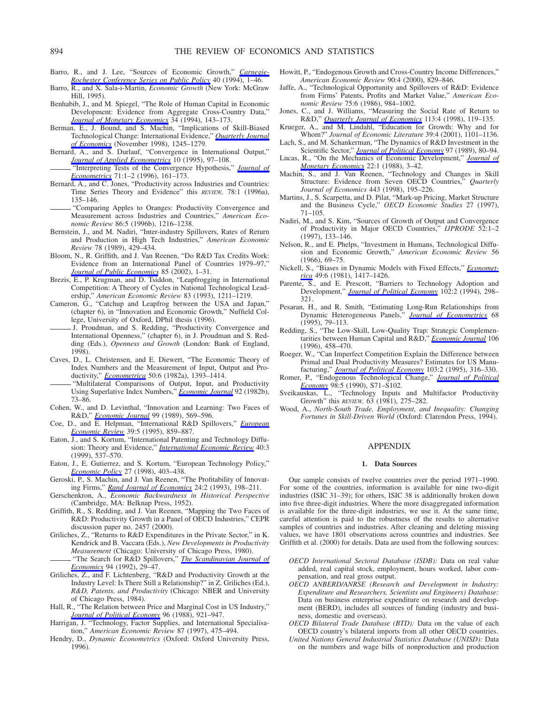- Barro, R., and J. Lee, "Sources of Economic Growth," *Carnegie-Rochester Conference Series on Public Policy* 40 (1994), 1–46.
- Barro, R., and X. Sala-i-Martin, *Economic Growth* (New York: McGraw Hill, 1995).
- Benhabib, J., and M. Spiegel, "The Role of Human Capital in Economic Development: Evidence from Aggregate Cross-Country Data," *Journal of Monetary Economics* 34 (1994), 143–173.
- Berman, E., J. Bound, and S. Machin, "Implications of Skill-Biased Technological Change: International Evidence," *Quarterly Journal of Economics* (November 1998), 1245–1279.
- Bernard, A., and S. Durlauf, "Convergence in International Output," *Journal of Applied Econometrics* 10 (1995), 97–108.
- "Interpreting Tests of the Convergence Hypothesis," *Journal of Econometrics* 71:1–2 (1996), 161–173.
- Bernard, A., and C. Jones, "Productivity across Industries and Countries: Time Series Theory and Evidence" this *REVIEW,* 78:1 (1996a), 135–146.
- "Comparing Apples to Oranges: Productivity Convergence and Measurement across Industries and Countries," *American Economic Review* 86:5 (1996b), 1216–1238.
- Bernstein, J., and M. Nadiri, "Inter-industry Spillovers, Rates of Return and Production in High Tech Industries," *American Economic Review* 78 (1989), 429–434.
- Bloom, N., R. Griffith, and J. Van Reenen, "Do R&D Tax Credits Work: Evidence from an International Panel of Countries 1979–97," *Journal of Public Economics* 85 (2002), 1–31.
- Brezis, E., P. Krugman, and D. Tsiddon, "Leapfrogging in International Competition: A Theory of Cycles in National Technological Leadership," *American Economic Review* 83 (1993), 1211–1219.
- Cameron, G., "Catchup and Leapfrog between the USA and Japan," (chapter 6), in "Innovation and Economic Growth," Nuffield College, University of Oxford, DPhil thesis (1996).
- J. Proudman, and S. Redding, "Productivity Convergence and International Openness," (chapter 6), in J. Proudman and S. Redding (Eds.), *Openness and Growth* (London: Bank of England, 1998).
- Caves, D., L. Christensen, and E. Diewert, "The Economic Theory of Index Numbers and the Measurement of Input, Output and Productivity," *Econometrica* 50:6 (1982a), 1393–1414.
- "Multilateral Comparisons of Output, Input, and Productivity Using Superlative Index Numbers," *Economic Journal* 92 (1982b), 73–86.
- Cohen, W., and D. Levinthal, "Innovation and Learning: Two Faces of R&D," *Economic Journal* 99 (1989), 569–596.
- Coe, D., and E. Helpman, "International R&D Spillovers," *European Economic Review* 39:5 (1995), 859–887.
- Eaton, J., and S. Kortum, "International Patenting and Technology Diffusion: Theory and Evidence," *International Economic Review* 40:3 (1999), 537–570.
- Eaton, J., E. Gutierrez, and S. Kortum, "European Technology Policy," *Economic Policy* 27 (1998), 403–438.
- Geroski, P., S. Machin, and J. Van Reenen, "The Profitability of Innovating Firms," *Rand Journal of Economics* 24:2 (1993), 198–211.
- Gerschenkron, A., *Economic Backwardness in Historical Perspective* (Cambridge, MA: Belknap Press, 1952).
- Griffith, R., S. Redding, and J. Van Reenen, "Mapping the Two Faces of R&D: Productivity Growth in a Panel of OECD Industries," CEPR discussion paper no. 2457 (2000).
- Griliches, Z., "Returns to R&D Expenditures in the Private Sector," in K. Kendrick and B. Vaccara (Eds.), *New Developments in Productivity Measurement* (Chicago: University of Chicago Press, 1980). "The Search for R&D Spillovers," *The Scandinavian Journal of Economics* 94 (1992), 29–47.
- Griliches, Z., and F. Lichtenberg, "R&D and Productivity Growth at the Industry Level: Is There Still a Relationship?" in Z. Griliches (Ed.), *R&D, Patents, and Productivity* (Chicago: NBER and University of Chicago Press, 1984).
- Hall, R., "The Relation between Price and Marginal Cost in US Industry," *Journal of Political Economy* 96 (1988), 921–947.
- Harrigan, J. "Technology, Factor Supplies, and International Specialisation," *American Economic Review* 87 (1997), 475–494.
- Hendry, D., *Dynamic Econometrics* (Oxford: Oxford University Press, 1996).
- Howitt, P., "Endogenous Growth and Cross-Country Income Differences," *American Economic Review* 90:4 (2000), 829–846.
- Jaffe, A., "Technological Opportunity and Spillovers of R&D: Evidence from Firms' Patents, Profits and Market Value," *American Economic Review* 75:6 (1986), 984–1002.
- Jones, C., and J. Williams, "Measuring the Social Rate of Return to R&D," *Quarterly Journal of Economics* 113:4 (1998), 119–135.
- Krueger, A., and M. Lindahl, "Education for Growth: Why and for Whom?" *Journal of Economic Literature* 39:4 (2001), 1101–1136.
- Lach, S., and M. Schankerman, "The Dynamics of R&D Investment in the Scientific Sector," *Journal of Political Economy* 97 (1989), 80–94.
- Lucas, R., "On the Mechanics of Economic Development," *Journal of Monetary Economics* 22:1 (1988), 3–42.
- Machin, S., and J. Van Reenen, "Technology and Changes in Skill Structure: Evidence from Seven OECD Countries," *Quarterly Journal of Economics* 443 (1998), 195–226.
- Martins, J., S. Scarpetta, and D. Pilat, "Mark-up Pricing, Market Structure and the Business Cycle," *OECD Economic Studies* 27 (1997), 71–105.
- Nadiri, M., and S. Kim, "Sources of Growth of Output and Convergence of Productivity in Major OECD Countries," *IJPRODE* 52:1–2 (1997), 133–146.
- Nelson, R., and E. Phelps, "Investment in Humans, Technological Diffusion and Economic Growth," *American Economic Review* 56 (1966), 69–75.
- Nickell, S., "Biases in Dynamic Models with Fixed Effects," *Econometrica* 49:6 (1981), 1417–1426.
- Parente, S., and E. Prescott, "Barriers to Technology Adoption and Development," *Journal of Political Economy* 102:2 (1994), 298– 321.
- Pesaran, H., and R. Smith, "Estimating Long-Run Relationships from Dynamic Heterogeneous Panels," *Journal of Econometrics* 68 (1995), 79–113.
- Redding, S., "The Low-Skill, Low-Quality Trap: Strategic Complementarities between Human Capital and R&D," *Economic Journal* 106 (1996), 458–470.
- Roeger, W., "Can Imperfect Competition Explain the Difference between Primal and Dual Productivity Measures? Estimates for US Manufacturing," *Journal of Political Economy* 103:2 (1995), 316–330.
- Romer, P., "Endogenous Technological Change," *Journal of Political Economy* 98:5 (1990), S71–S102.
- Sveikauskas, L., "Technology Inputs and Multifactor Productivity Growth" this *REVIEW,* 63 (1981), 275–282.
- Wood, A., *North-South Trade, Employment, and Inequality: Changing Fortunes in Skill-Driven World* (Oxford: Clarendon Press, 1994).

#### APPENDIX

#### **1. Data Sources**

Our sample consists of twelve countries over the period 1971–1990. For some of the countries, information is available for nine two-digit industries (ISIC 31–39); for others, ISIC 38 is additionally broken down into five three-digit industries. Where the more disaggregated information is available for the three-digit industries, we use it. At the same time, careful attention is paid to the robustness of the results to alternative samples of countries and industries. After cleaning and deleting missing values, we have 1801 observations across countries and industries. See Griffith et al. (2000) for details. Data are used from the following sources:

- *OECD International Sectoral Database (ISDB):* Data on real value added, real capital stock, employment, hours worked, labor compensation, and real gross output.
- *OECD ANBERD/ANRSE (Research and Development in Industry: Expenditure and Researchers, Scientists and Engineers) Database:* Data on business enterprise expenditure on research and development (BERD), includes all sources of funding (industry and business, domestic and overseas).
- *OECD Bilateral Trade Database (BTD):* Data on the value of each OECD country's bilateral imports from all other OECD countries.
- *United Nations General Industrial Statistics Database (UNISD):* Data on the numbers and wage bills of nonproduction and production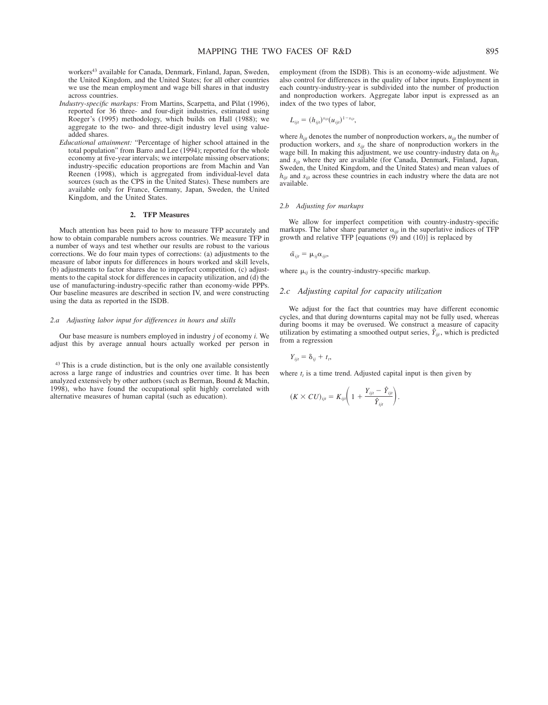workers<sup>43</sup> available for Canada, Denmark, Finland, Japan, Sweden, the United Kingdom, and the United States; for all other countries we use the mean employment and wage bill shares in that industry across countries.

- *Industry-specific markups:* From Martins, Scarpetta, and Pilat (1996), reported for 36 three- and four-digit industries, estimated using Roeger's (1995) methodology, which builds on Hall (1988); we aggregate to the two- and three-digit industry level using valueadded shares.
- *Educational attainment:* "Percentage of higher school attained in the total population" from Barro and Lee (1994); reported for the whole economy at five-year intervals; we interpolate missing observations; industry-specific education proportions are from Machin and Van Reenen (1998), which is aggregated from individual-level data sources (such as the CPS in the United States). These numbers are available only for France, Germany, Japan, Sweden, the United Kingdom, and the United States.

#### **2. TFP Measures**

Much attention has been paid to how to measure TFP accurately and how to obtain comparable numbers across countries. We measure TFP in a number of ways and test whether our results are robust to the various corrections. We do four main types of corrections: (a) adjustments to the measure of labor inputs for differences in hours worked and skill levels, (b) adjustments to factor shares due to imperfect competition, (c) adjustments to the capital stock for differences in capacity utilization, and (d) the use of manufacturing-industry-specific rather than economy-wide PPPs. Our baseline measures are described in section IV, and were constructing using the data as reported in the ISDB.

#### *2.a Adjusting labor input for differences in hours and skills*

Our base measure is numbers employed in industry *j* of economy *i.* We adjust this by average annual hours actually worked per person in

<sup>43</sup> This is a crude distinction, but is the only one available consistently across a large range of industries and countries over time. It has been analyzed extensively by other authors (such as Berman, Bound & Machin, 1998), who have found the occupational split highly correlated with alternative measures of human capital (such as education).

employment (from the ISDB). This is an economy-wide adjustment. We also control for differences in the quality of labor inputs. Employment in each country-industry-year is subdivided into the number of production and nonproduction workers. Aggregate labor input is expressed as an index of the two types of labor,

$$
L_{ijt} = (h_{ijt})^{s_{ijt}} (u_{ijt})^{1-s_{ijt}},
$$

where  $h_{ijt}$  denotes the number of nonproduction workers,  $u_{ijt}$  the number of production workers, and *sijt* the share of nonproduction workers in the wage bill. In making this adjustment, we use country-industry data on  $h_{\text{int}}$ and *sijt* where they are available (for Canada, Denmark, Finland, Japan, Sweden, the United Kingdom, and the United States) and mean values of *h<sub>ijt</sub>* and *s<sub>ijt</sub>* across these countries in each industry where the data are not available.

#### *2.b Adjusting for markups*

We allow for imperfect competition with country-industry-specific markups. The labor share parameter  $\alpha_{ijt}$  in the superlative indices of TFP growth and relative TFP [equations  $(9)$  and  $(10)$ ] is replaced by

$$
\tilde{\alpha}_{ijt} = \mu_{ij}\alpha_{ijt},
$$

where  $\mu_{ii}$  is the country-industry-specific markup.

### *2.c Adjusting capital for capacity utilization*

We adjust for the fact that countries may have different economic cycles, and that during downturns capital may not be fully used, whereas during booms it may be overused. We construct a measure of capacity utilization by estimating a smoothed output series,  $\hat{Y}_{ii}$ , which is predicted from a regression

$$
Y_{ijt} = \delta_{ij} + t_t,
$$

where  $t<sub>t</sub>$  is a time trend. Adjusted capital input is then given by

$$
(K \times CU)_{ijt} = K_{ijt} \left( 1 + \frac{Y_{ijt} - \hat{Y}_{ijt}}{\hat{Y}_{ijt}} \right).
$$